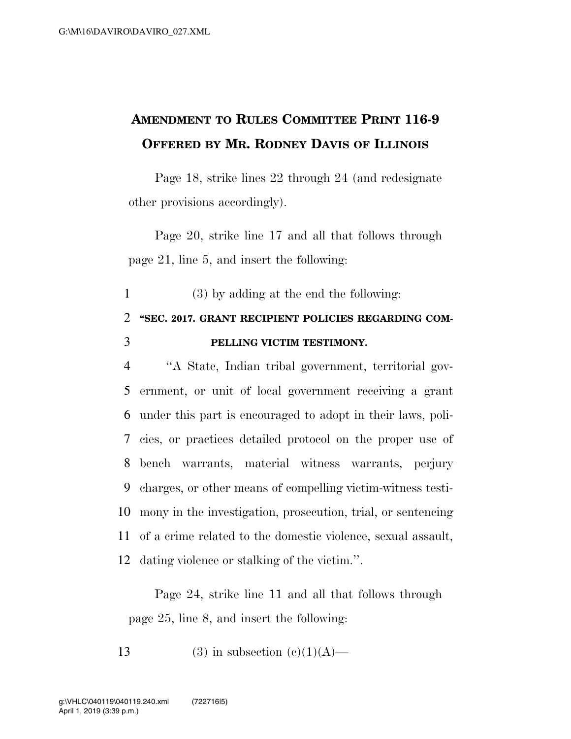## **AMENDMENT TO RULES COMMITTEE PRINT 116-9 OFFERED BY MR. RODNEY DAVIS OF ILLINOIS**

Page 18, strike lines 22 through 24 (and redesignate other provisions accordingly).

Page 20, strike line 17 and all that follows through page 21, line 5, and insert the following:

1 (3) by adding at the end the following:

## 2 **''SEC. 2017. GRANT RECIPIENT POLICIES REGARDING COM-**3 **PELLING VICTIM TESTIMONY.**

 ''A State, Indian tribal government, territorial gov- ernment, or unit of local government receiving a grant under this part is encouraged to adopt in their laws, poli- cies, or practices detailed protocol on the proper use of bench warrants, material witness warrants, perjury charges, or other means of compelling victim-witness testi- mony in the investigation, prosecution, trial, or sentencing of a crime related to the domestic violence, sexual assault, dating violence or stalking of the victim.''.

Page 24, strike line 11 and all that follows through page 25, line 8, and insert the following:

13 (3) in subsection  $(c)(1)(A)$ —